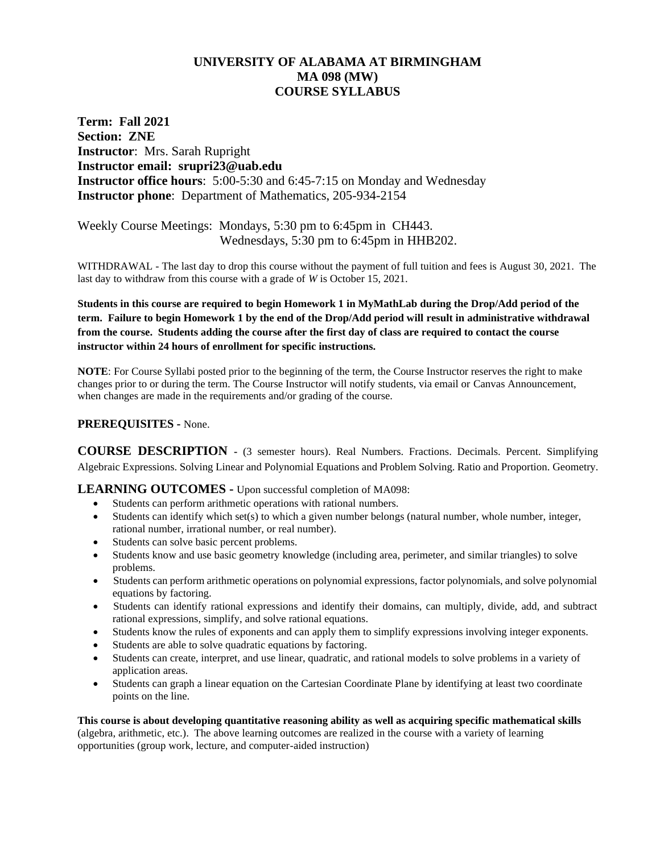# **UNIVERSITY OF ALABAMA AT BIRMINGHAM MA 098 (MW) COURSE SYLLABUS**

**Term: Fall 2021 Section: ZNE Instructor**: Mrs. Sarah Rupright **Instructor email: srupri23@uab.edu Instructor office hours**: 5:00-5:30 and 6:45-7:15 on Monday and Wednesday **Instructor phone**: Department of Mathematics, 205-934-2154

Weekly Course Meetings: Mondays, 5:30 pm to 6:45pm in CH443. Wednesdays, 5:30 pm to 6:45pm in HHB202.

WITHDRAWAL - The last day to drop this course without the payment of full tuition and fees is August 30, 2021. The last day to withdraw from this course with a grade of *W* is October 15, 2021.

**Students in this course are required to begin Homework 1 in MyMathLab during the Drop/Add period of the term. Failure to begin Homework 1 by the end of the Drop/Add period will result in administrative withdrawal from the course. Students adding the course after the first day of class are required to contact the course instructor within 24 hours of enrollment for specific instructions.**

**NOTE**: For Course Syllabi posted prior to the beginning of the term, the Course Instructor reserves the right to make changes prior to or during the term. The Course Instructor will notify students, via email or Canvas Announcement, when changes are made in the requirements and/or grading of the course.

## **PREREQUISITES -** None.

**COURSE DESCRIPTION -** (3 semester hours). Real Numbers. Fractions. Decimals. Percent. Simplifying Algebraic Expressions. Solving Linear and Polynomial Equations and Problem Solving. Ratio and Proportion. Geometry.

#### **LEARNING OUTCOMES -** Upon successful completion of MA098:

- Students can perform arithmetic operations with rational numbers.
- Students can identify which set(s) to which a given number belongs (natural number, whole number, integer, rational number, irrational number, or real number).
- Students can solve basic percent problems.
- Students know and use basic geometry knowledge (including area, perimeter, and similar triangles) to solve problems.
- Students can perform arithmetic operations on polynomial expressions, factor polynomials, and solve polynomial equations by factoring.
- Students can identify rational expressions and identify their domains, can multiply, divide, add, and subtract rational expressions, simplify, and solve rational equations.
- Students know the rules of exponents and can apply them to simplify expressions involving integer exponents.
- Students are able to solve quadratic equations by factoring.
- Students can create, interpret, and use linear, quadratic, and rational models to solve problems in a variety of application areas.
- Students can graph a linear equation on the Cartesian Coordinate Plane by identifying at least two coordinate points on the line.

**This course is about developing quantitative reasoning ability as well as acquiring specific mathematical skills** (algebra, arithmetic, etc.). The above learning outcomes are realized in the course with a variety of learning opportunities (group work, lecture, and computer-aided instruction)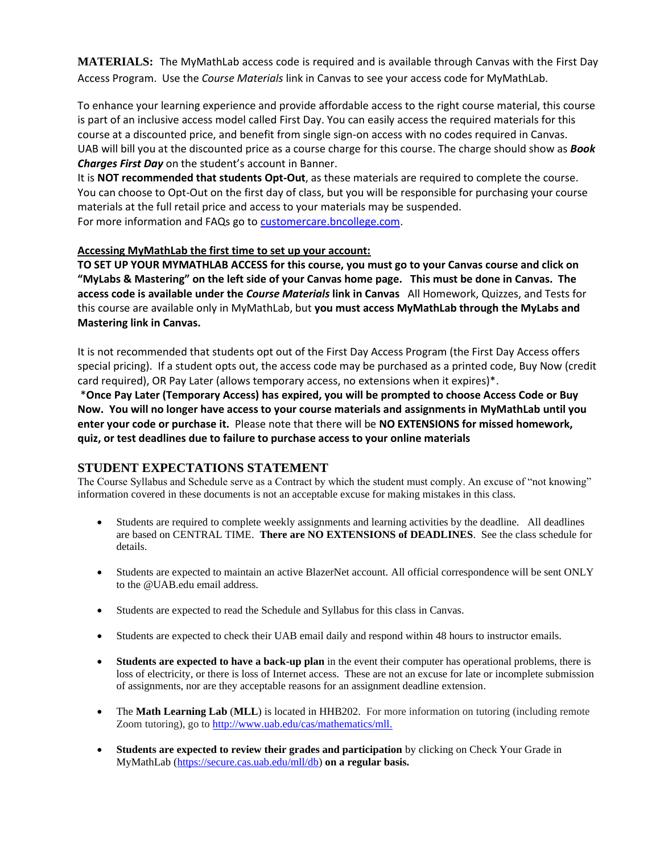**MATERIALS:** The MyMathLab access code is required and is available through Canvas with the First Day Access Program. Use the *Course Materials* link in Canvas to see your access code for MyMathLab.

To enhance your learning experience and provide affordable access to the right course material, this course is part of an inclusive access model called First Day. You can easily access the required materials for this course at a discounted price, and benefit from single sign-on access with no codes required in Canvas. UAB will bill you at the discounted price as a course charge for this course. The charge should show as *Book Charges First Day* on the student's account in Banner.

It is **NOT recommended that students Opt-Out**, as these materials are required to complete the course. You can choose to Opt-Out on the first day of class, but you will be responsible for purchasing your course materials at the full retail price and access to your materials may be suspended. For more information and FAQs go t[o customercare.bncollege.com.](https://customercare.bncollege.com/hc/en-us)

#### **Accessing MyMathLab the first time to set up your account:**

**TO SET UP YOUR MYMATHLAB ACCESS for this course, you must go to your Canvas course and click on "MyLabs & Mastering" on the left side of your Canvas home page. This must be done in Canvas. The access code is available under the** *Course Materials* **link in Canvas** All Homework, Quizzes, and Tests for this course are available only in MyMathLab, but **you must access MyMathLab through the MyLabs and Mastering link in Canvas.**

It is not recommended that students opt out of the First Day Access Program (the First Day Access offers special pricing). If a student opts out, the access code may be purchased as a printed code, Buy Now (credit card required), OR Pay Later (allows temporary access, no extensions when it expires)\*.

\***Once Pay Later (Temporary Access) has expired, you will be prompted to choose Access Code or Buy Now. You will no longer have access to your course materials and assignments in MyMathLab until you enter your code or purchase it.** Please note that there will be **NO EXTENSIONS for missed homework, quiz, or test deadlines due to failure to purchase access to your online materials**

## **STUDENT EXPECTATIONS STATEMENT**

The Course Syllabus and Schedule serve as a Contract by which the student must comply. An excuse of "not knowing" information covered in these documents is not an acceptable excuse for making mistakes in this class.

- Students are required to complete weekly assignments and learning activities by the deadline. All deadlines are based on CENTRAL TIME. **There are NO EXTENSIONS of DEADLINES**. See the class schedule for details.
- Students are expected to maintain an active BlazerNet account. All official correspondence will be sent ONLY to the @UAB edu email address.
- Students are expected to read the Schedule and Syllabus for this class in Canvas.
- Students are expected to check their UAB email daily and respond within 48 hours to instructor emails.
- **Students are expected to have a back-up plan** in the event their computer has operational problems, there is loss of electricity, or there is loss of Internet access. These are not an excuse for late or incomplete submission of assignments, nor are they acceptable reasons for an assignment deadline extension.
- The **Math Learning Lab** (**MLL**) is located in HHB202. For more information on tutoring (including remote Zoom tutoring), go to [http://www.uab.edu/cas/mathematics/mll.](http://www.uab.edu/cas/mathematics/mll)
- **Students are expected to review their grades and participation** by clicking on Check Your Grade in MyMathLab [\(https://secure.cas.uab.edu/mll/db\)](https://secure.cas.uab.edu/mll/db) **on a regular basis.**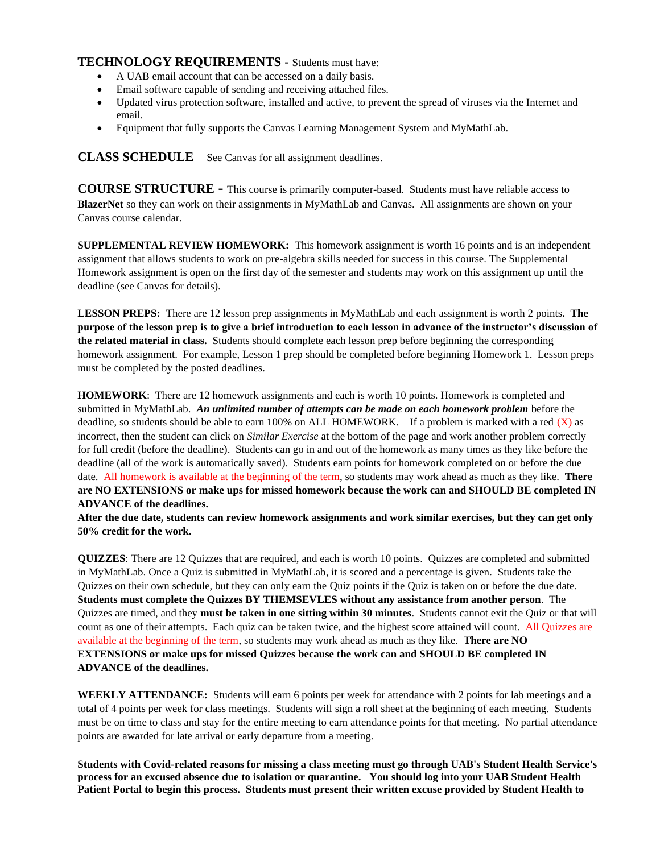## **TECHNOLOGY REQUIREMENTS -** Students must have:

- A UAB email account that can be accessed on a daily basis.
- Email software capable of sending and receiving attached files.
- Updated virus protection software, installed and active, to prevent the spread of viruses via the Internet and email.
- Equipment that fully supports the Canvas Learning Management System and MyMathLab.

**CLASS SCHEDULE** – See Canvas for all assignment deadlines.

**COURSE STRUCTURE -** This course is primarily computer-based. Students must have reliable access to **BlazerNet** so they can work on their assignments in MyMathLab and Canvas. All assignments are shown on your Canvas course calendar.

**SUPPLEMENTAL REVIEW HOMEWORK:** This homework assignment is worth 16 points and is an independent assignment that allows students to work on pre-algebra skills needed for success in this course. The Supplemental Homework assignment is open on the first day of the semester and students may work on this assignment up until the deadline (see Canvas for details).

**LESSON PREPS:** There are 12 lesson prep assignments in MyMathLab and each assignment is worth 2 points**. The purpose of the lesson prep is to give a brief introduction to each lesson in advance of the instructor's discussion of the related material in class.** Students should complete each lesson prep before beginning the corresponding homework assignment. For example, Lesson 1 prep should be completed before beginning Homework 1. Lesson preps must be completed by the posted deadlines.

**HOMEWORK**: There are 12 homework assignments and each is worth 10 points. Homework is completed and submitted in MyMathLab. *An unlimited number of attempts can be made on each homework problem* before the deadline, so students should be able to earn 100% on ALL HOMEWORK. If a problem is marked with a red (X) as incorrect, then the student can click on *Similar Exercise* at the bottom of the page and work another problem correctly for full credit (before the deadline). Students can go in and out of the homework as many times as they like before the deadline (all of the work is automatically saved). Students earn points for homework completed on or before the due date. All homework is available at the beginning of the term, so students may work ahead as much as they like. **There are NO EXTENSIONS or make ups for missed homework because the work can and SHOULD BE completed IN ADVANCE of the deadlines.**

**After the due date, students can review homework assignments and work similar exercises, but they can get only 50% credit for the work.**

**QUIZZES**: There are 12 Quizzes that are required, and each is worth 10 points. Quizzes are completed and submitted in MyMathLab. Once a Quiz is submitted in MyMathLab, it is scored and a percentage is given. Students take the Quizzes on their own schedule, but they can only earn the Quiz points if the Quiz is taken on or before the due date. **Students must complete the Quizzes BY THEMSEVLES without any assistance from another person**. The Quizzes are timed, and they **must be taken in one sitting within 30 minutes**. Students cannot exit the Quiz or that will count as one of their attempts. Each quiz can be taken twice, and the highest score attained will count. All Quizzes are available at the beginning of the term, so students may work ahead as much as they like. **There are NO EXTENSIONS or make ups for missed Quizzes because the work can and SHOULD BE completed IN ADVANCE of the deadlines.**

**WEEKLY ATTENDANCE:** Students will earn 6 points per week for attendance with 2 points for lab meetings and a total of 4 points per week for class meetings. Students will sign a roll sheet at the beginning of each meeting. Students must be on time to class and stay for the entire meeting to earn attendance points for that meeting. No partial attendance points are awarded for late arrival or early departure from a meeting.

**Students with Covid-related reasons for missing a class meeting must go through UAB's Student Health Service's process for an excused absence due to isolation or quarantine. You should log into your UAB Student Health Patient Portal to begin this process. Students must present their written excuse provided by Student Health to**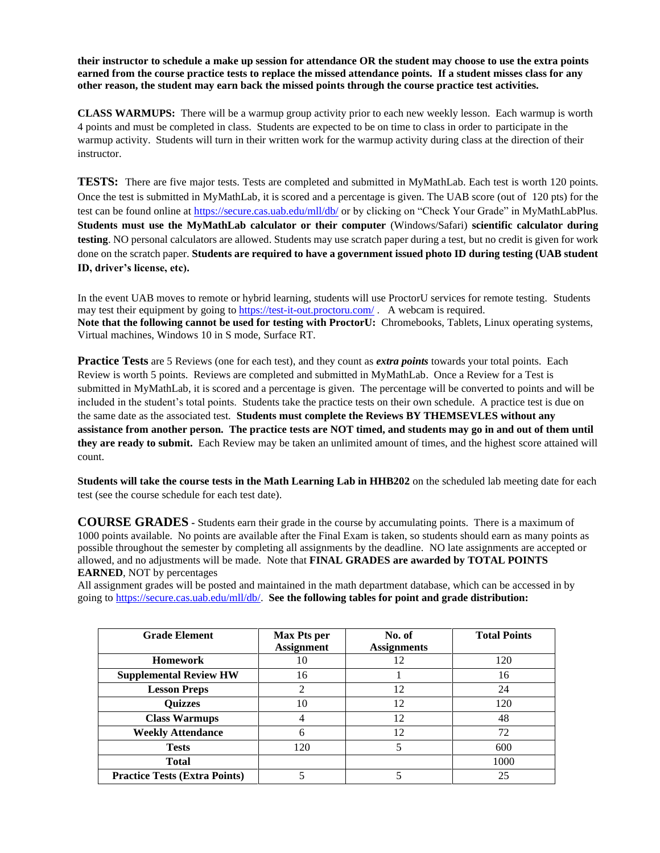**their instructor to schedule a make up session for attendance OR the student may choose to use the extra points earned from the course practice tests to replace the missed attendance points. If a student misses class for any other reason, the student may earn back the missed points through the course practice test activities.**

**CLASS WARMUPS:** There will be a warmup group activity prior to each new weekly lesson. Each warmup is worth 4 points and must be completed in class. Students are expected to be on time to class in order to participate in the warmup activity. Students will turn in their written work for the warmup activity during class at the direction of their instructor.

**TESTS:** There are five major tests. Tests are completed and submitted in MyMathLab. Each test is worth 120 points. Once the test is submitted in MyMathLab, it is scored and a percentage is given. The UAB score (out of 120 pts) for the test can be found online at<https://secure.cas.uab.edu/mll/db/> or by clicking on "Check Your Grade" in MyMathLabPlus. **Students must use the MyMathLab calculator or their computer** (Windows/Safari) **scientific calculator during testing**. NO personal calculators are allowed. Students may use scratch paper during a test, but no credit is given for work done on the scratch paper. **Students are required to have a government issued photo ID during testing (UAB student ID, driver's license, etc).** 

In the event UAB moves to remote or hybrid learning, students will use ProctorU services for remote testing. Students may test their equipment by going to <https://test-it-out.proctoru.com/> . A webcam is required. **Note that the following cannot be used for testing with ProctorU:** Chromebooks, Tablets, Linux operating systems, Virtual machines, Windows 10 in S mode, Surface RT.

**Practice Tests** are 5 Reviews (one for each test), and they count as *extra points* towards your total points. Each Review is worth 5 points. Reviews are completed and submitted in MyMathLab. Once a Review for a Test is submitted in MyMathLab, it is scored and a percentage is given. The percentage will be converted to points and will be included in the student's total points. Students take the practice tests on their own schedule. A practice test is due on the same date as the associated test. **Students must complete the Reviews BY THEMSEVLES without any assistance from another person. The practice tests are NOT timed, and students may go in and out of them until they are ready to submit.** Each Review may be taken an unlimited amount of times, and the highest score attained will count.

**Students will take the course tests in the Math Learning Lab in HHB202** on the scheduled lab meeting date for each test (see the course schedule for each test date).

**COURSE GRADES -** Students earn their grade in the course by accumulating points. There is a maximum of 1000 points available. No points are available after the Final Exam is taken, so students should earn as many points as possible throughout the semester by completing all assignments by the deadline. NO late assignments are accepted or allowed, and no adjustments will be made. Note that **FINAL GRADES are awarded by TOTAL POINTS EARNED**, NOT by percentages

All assignment grades will be posted and maintained in the math department database, which can be accessed in by going t[o https://secure.cas.uab.edu/mll/db/.](https://secure.cas.uab.edu/mll/db/) **See the following tables for point and grade distribution:**

| <b>Grade Element</b>                 | <b>Max Pts per</b> | No. of             | <b>Total Points</b> |
|--------------------------------------|--------------------|--------------------|---------------------|
|                                      | <b>Assignment</b>  | <b>Assignments</b> |                     |
| <b>Homework</b>                      | 10                 | 12                 | 120                 |
| <b>Supplemental Review HW</b>        | 16                 |                    | 16                  |
| <b>Lesson Preps</b>                  | ◠                  | 12                 | 24                  |
| <b>Quizzes</b>                       | 10                 | 12                 | 120                 |
| <b>Class Warmups</b>                 | 4                  | 12                 | 48                  |
| <b>Weekly Attendance</b>             | 6                  | 12                 | 72                  |
| <b>Tests</b>                         | 120                | 5                  | 600                 |
| <b>Total</b>                         |                    |                    | 1000                |
| <b>Practice Tests (Extra Points)</b> |                    |                    | 25                  |